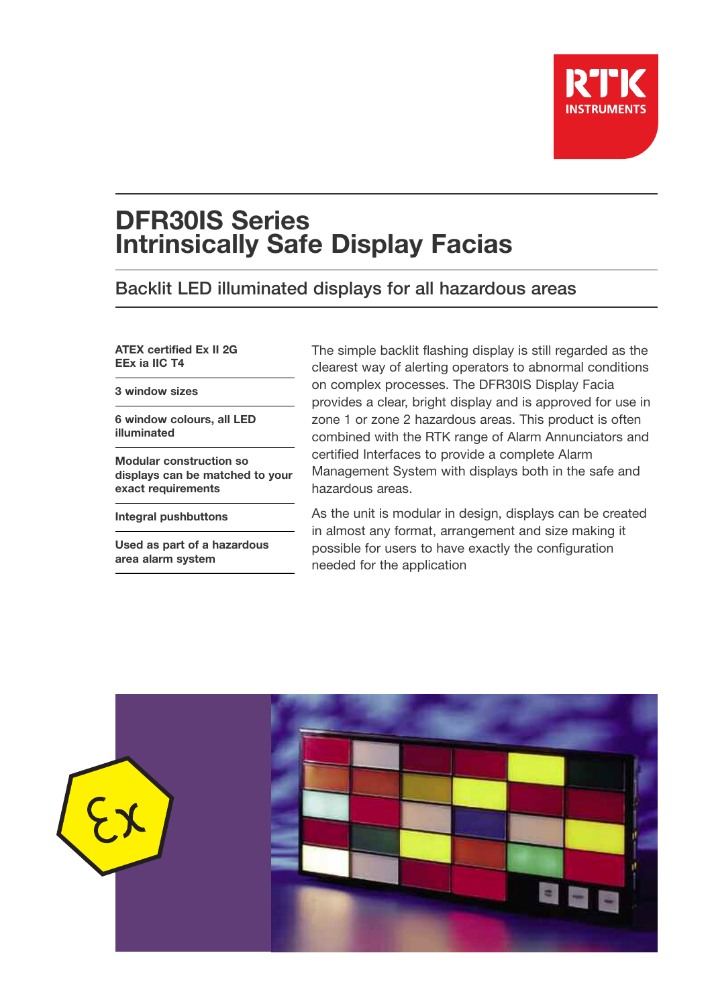

# **DFR30IS Series Intrinsically Safe Display Facias**

# Backlit LED illuminated displays for all hazardous areas

**ATEX certified Ex II 2G EEx ia IIC T4**

**3 window sizes**

**6 window colours, all LED illuminated**

**Modular construction so displays can be matched to your exact requirements**

**Integral pushbuttons**

**Used as part of a hazardous area alarm system**

The simple backlit flashing display is still regarded as the clearest way of alerting operators to abnormal conditions on complex processes. The DFR30IS Display Facia provides a clear, bright display and is approved for use in zone 1 or zone 2 hazardous areas. This product is often combined with the RTK range of Alarm Annunciators and certified Interfaces to provide a complete Alarm Management System with displays both in the safe and hazardous areas.

As the unit is modular in design, displays can be created in almost any format, arrangement and size making it possible for users to have exactly the configuration needed for the application